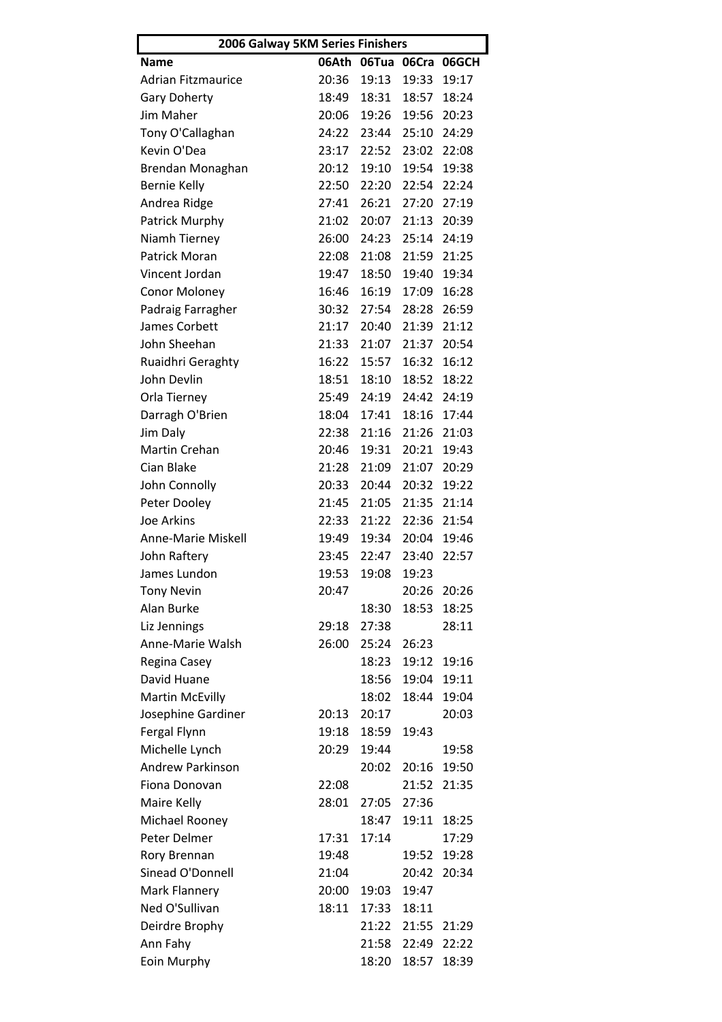| 2006 Galway 5KM Series Finishers |       |       |       |                         |  |  |  |
|----------------------------------|-------|-------|-------|-------------------------|--|--|--|
| <b>Name</b>                      |       |       |       | 06Ath 06Tua 06Cra 06GCH |  |  |  |
| <b>Adrian Fitzmaurice</b>        | 20:36 | 19:13 | 19:33 | 19:17                   |  |  |  |
| <b>Gary Doherty</b>              | 18:49 | 18:31 | 18:57 | 18:24                   |  |  |  |
| Jim Maher                        | 20:06 | 19:26 | 19:56 | 20:23                   |  |  |  |
| Tony O'Callaghan                 | 24:22 | 23:44 | 25:10 | 24:29                   |  |  |  |
| Kevin O'Dea                      | 23:17 | 22:52 | 23:02 | 22:08                   |  |  |  |
| Brendan Monaghan                 | 20:12 | 19:10 | 19:54 | 19:38                   |  |  |  |
| <b>Bernie Kelly</b>              | 22:50 | 22:20 | 22:54 | 22:24                   |  |  |  |
| Andrea Ridge                     | 27:41 | 26:21 | 27:20 | 27:19                   |  |  |  |
| Patrick Murphy                   | 21:02 | 20:07 | 21:13 | 20:39                   |  |  |  |
| Niamh Tierney                    | 26:00 | 24:23 | 25:14 | 24:19                   |  |  |  |
| <b>Patrick Moran</b>             | 22:08 | 21:08 | 21:59 | 21:25                   |  |  |  |
| Vincent Jordan                   | 19:47 | 18:50 | 19:40 | 19:34                   |  |  |  |
| Conor Moloney                    | 16:46 | 16:19 | 17:09 | 16:28                   |  |  |  |
| Padraig Farragher                | 30:32 | 27:54 | 28:28 | 26:59                   |  |  |  |
| James Corbett                    | 21:17 | 20:40 | 21:39 | 21:12                   |  |  |  |
| John Sheehan                     | 21:33 | 21:07 | 21:37 | 20:54                   |  |  |  |
| Ruaidhri Geraghty                | 16:22 | 15:57 | 16:32 | 16:12                   |  |  |  |
| John Devlin                      | 18:51 | 18:10 | 18:52 | 18:22                   |  |  |  |
| Orla Tierney                     | 25:49 | 24:19 | 24:42 | 24:19                   |  |  |  |
| Darragh O'Brien                  | 18:04 | 17:41 | 18:16 | 17:44                   |  |  |  |
| Jim Daly                         | 22:38 | 21:16 | 21:26 | 21:03                   |  |  |  |
| Martin Crehan                    | 20:46 | 19:31 | 20:21 | 19:43                   |  |  |  |
| Cian Blake                       | 21:28 | 21:09 | 21:07 | 20:29                   |  |  |  |
| John Connolly                    | 20:33 | 20:44 | 20:32 | 19:22                   |  |  |  |
| Peter Dooley                     | 21:45 | 21:05 | 21:35 | 21:14                   |  |  |  |
| Joe Arkins                       | 22:33 | 21:22 | 22:36 | 21:54                   |  |  |  |
| Anne-Marie Miskell               | 19:49 | 19:34 | 20:04 | 19:46                   |  |  |  |
| John Raftery                     | 23:45 | 22:47 | 23:40 | 22:57                   |  |  |  |
| James Lundon                     | 19:53 | 19:08 | 19:23 |                         |  |  |  |
| <b>Tony Nevin</b>                | 20:47 |       | 20:26 | 20:26                   |  |  |  |
| Alan Burke                       |       | 18:30 | 18:53 | 18:25                   |  |  |  |
| Liz Jennings                     | 29:18 | 27:38 |       | 28:11                   |  |  |  |
| Anne-Marie Walsh                 | 26:00 | 25:24 | 26:23 |                         |  |  |  |
| Regina Casey                     |       | 18:23 | 19:12 | 19:16                   |  |  |  |
| David Huane                      |       | 18:56 | 19:04 | 19:11                   |  |  |  |
| <b>Martin McEvilly</b>           |       | 18:02 | 18:44 | 19:04                   |  |  |  |
| Josephine Gardiner               | 20:13 | 20:17 |       | 20:03                   |  |  |  |
| Fergal Flynn                     | 19:18 | 18:59 | 19:43 |                         |  |  |  |
| Michelle Lynch                   | 20:29 | 19:44 |       | 19:58                   |  |  |  |
| Andrew Parkinson                 |       | 20:02 | 20:16 | 19:50                   |  |  |  |
| Fiona Donovan                    | 22:08 |       | 21:52 | 21:35                   |  |  |  |
| Maire Kelly                      | 28:01 | 27:05 | 27:36 |                         |  |  |  |
| Michael Rooney                   |       | 18:47 | 19:11 | 18:25                   |  |  |  |
| Peter Delmer                     | 17:31 | 17:14 |       | 17:29                   |  |  |  |
| Rory Brennan                     | 19:48 |       | 19:52 | 19:28                   |  |  |  |
| Sinead O'Donnell                 | 21:04 |       | 20:42 | 20:34                   |  |  |  |
| Mark Flannery                    | 20:00 | 19:03 | 19:47 |                         |  |  |  |
| Ned O'Sullivan                   | 18:11 | 17:33 | 18:11 |                         |  |  |  |
| Deirdre Brophy                   |       | 21:22 | 21:55 | 21:29                   |  |  |  |
| Ann Fahy                         |       | 21:58 | 22:49 | 22:22                   |  |  |  |
| Eoin Murphy                      |       | 18:20 | 18:57 | 18:39                   |  |  |  |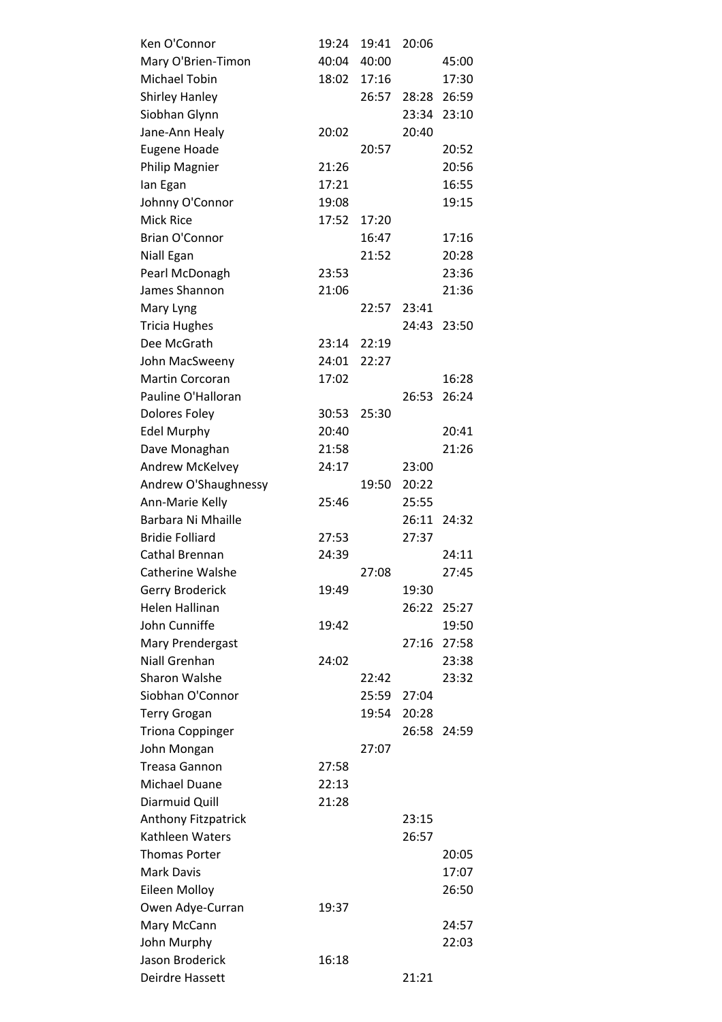| Ken O'Connor               | 19:24 | 19:41 | 20:06 |             |
|----------------------------|-------|-------|-------|-------------|
| Mary O'Brien-Timon         | 40:04 | 40:00 |       | 45:00       |
| Michael Tobin              | 18:02 | 17:16 |       | 17:30       |
| <b>Shirley Hanley</b>      |       | 26:57 | 28:28 | 26:59       |
| Siobhan Glynn              |       |       | 23:34 | 23:10       |
| Jane-Ann Healy             | 20:02 |       | 20:40 |             |
| <b>Eugene Hoade</b>        |       | 20:57 |       | 20:52       |
| Philip Magnier             | 21:26 |       |       | 20:56       |
| lan Egan                   | 17:21 |       |       | 16:55       |
| Johnny O'Connor            | 19:08 |       |       | 19:15       |
| <b>Mick Rice</b>           | 17:52 | 17:20 |       |             |
| <b>Brian O'Connor</b>      |       | 16:47 |       | 17:16       |
| Niall Egan                 |       | 21:52 |       | 20:28       |
| Pearl McDonagh             | 23:53 |       |       | 23:36       |
| James Shannon              | 21:06 |       |       | 21:36       |
| Mary Lyng                  |       | 22:57 | 23:41 |             |
| <b>Tricia Hughes</b>       |       |       | 24:43 | 23:50       |
| Dee McGrath                | 23:14 | 22:19 |       |             |
| John MacSweeny             | 24:01 | 22:27 |       |             |
| <b>Martin Corcoran</b>     | 17:02 |       |       | 16:28       |
| Pauline O'Halloran         |       |       | 26:53 | 26:24       |
| Dolores Foley              | 30:53 | 25:30 |       |             |
| <b>Edel Murphy</b>         | 20:40 |       |       | 20:41       |
| Dave Monaghan              | 21:58 |       |       | 21:26       |
| Andrew McKelvey            | 24:17 |       | 23:00 |             |
| Andrew O'Shaughnessy       |       | 19:50 | 20:22 |             |
| Ann-Marie Kelly            | 25:46 |       | 25:55 |             |
| Barbara Ni Mhaille         |       |       | 26:11 | 24:32       |
| <b>Bridie Folliard</b>     | 27:53 |       | 27:37 |             |
| Cathal Brennan             | 24:39 |       |       | 24:11       |
| Catherine Walshe           |       | 27:08 |       | 27:45       |
| <b>Gerry Broderick</b>     | 19:49 |       | 19:30 |             |
| Helen Hallinan             |       |       | 26:22 | 25:27       |
| John Cunniffe              | 19:42 |       |       | 19:50       |
| Mary Prendergast           |       |       | 27:16 | 27:58       |
| Niall Grenhan              | 24:02 |       |       | 23:38       |
| <b>Sharon Walshe</b>       |       | 22:42 |       | 23:32       |
| Siobhan O'Connor           |       | 25:59 | 27:04 |             |
| <b>Terry Grogan</b>        |       | 19:54 | 20:28 |             |
| <b>Triona Coppinger</b>    |       |       |       | 26:58 24:59 |
| John Mongan                |       | 27:07 |       |             |
| <b>Treasa Gannon</b>       | 27:58 |       |       |             |
| <b>Michael Duane</b>       | 22:13 |       |       |             |
| Diarmuid Quill             | 21:28 |       |       |             |
| <b>Anthony Fitzpatrick</b> |       |       | 23:15 |             |
| Kathleen Waters            |       |       | 26:57 |             |
| <b>Thomas Porter</b>       |       |       |       | 20:05       |
| Mark Davis                 |       |       |       | 17:07       |
| Eileen Molloy              |       |       |       | 26:50       |
| Owen Adye-Curran           | 19:37 |       |       |             |
| Mary McCann                |       |       |       | 24:57       |
| John Murphy                |       |       |       | 22:03       |
| Jason Broderick            | 16:18 |       |       |             |
| Deirdre Hassett            |       |       | 21:21 |             |